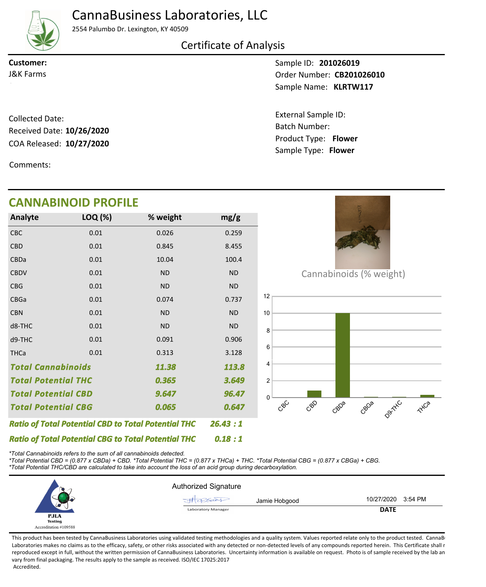# CannaBusiness Laboratories, LLC

## 2554 Palumbo Dr. Lexington, KY 40509

Certificate of Analysis

**Customer:**

Sample ID: **201026019** Sample Name: KLRTW117 **J&K Farms CB201026010** 

> Product Type: **Flower 10/27/2020** Batch Number: External Sample ID: Sample Type: **Flower**

COA Released: 10/27/2020 Collected Date: Received Date: **10/26/2020**

Comments:

### **CANNABINOID PROFILE**

| Analyte                                                    | LOQ (%) | % weight  | mg/g      |
|------------------------------------------------------------|---------|-----------|-----------|
| <b>CBC</b>                                                 | 0.01    | 0.026     | 0.259     |
| <b>CBD</b>                                                 | 0.01    | 0.845     | 8.455     |
| CBDa                                                       | 0.01    | 10.04     | 100.4     |
| <b>CBDV</b>                                                | 0.01    | <b>ND</b> | <b>ND</b> |
| <b>CBG</b>                                                 | 0.01    | <b>ND</b> | <b>ND</b> |
| <b>CBGa</b>                                                | 0.01    | 0.074     | 0.737     |
| <b>CBN</b>                                                 | 0.01    | <b>ND</b> | <b>ND</b> |
| d8-THC                                                     | 0.01    | <b>ND</b> | <b>ND</b> |
| d9-THC                                                     | 0.01    | 0.091     | 0.906     |
| <b>THCa</b>                                                | 0.01    | 0.313     | 3.128     |
| <b>Total Cannabinoids</b><br>11.38                         |         |           | 113.8     |
| <b>Total Potential THC</b><br>0.365                        |         |           | 3.649     |
| <b>Total Potential CBD</b>                                 |         | 9.647     | 96.47     |
| <b>Total Potential CBG</b><br>0.065                        |         |           | 0.647     |
| <b>Ratio of Total Potential CBD to Total Potential THC</b> | 26.43:1 |           |           |
| <b>Ratio of Total Potential CBG to Total Potential THC</b> | 0.18:1  |           |           |



Cannabinoids (% weight)



*\*Total Cannabinoids refers to the sum of all cannabinoids detected.*

*\*Total Potential CBD = (0.877 x CBDa) + CBD. \*Total Potential THC = (0.877 x THCa) + THC. \*Total Potential CBG = (0.877 x CBGa) + CBG. \*Total Potential THC/CBD are calculated to take into account the loss of an acid group during decarboxylation.*



This product has been tested by CannaBusiness Laboratories using validated testing methodologies and a quality system. Values reported relate only to the product tested. CannaBi Laboratories makes no claims as to the efficacy, safety, or other risks associated with any detected or non-detected levels of any compounds reported herein. This Certificate shall r reproduced except in full, without the written permission of CannaBusiness Laboratories. Uncertainty information is available on request. Photo is of sample received by the lab an vary from final packaging. The results apply to the sample as received. ISO/IEC 17025:2017 Accredited.